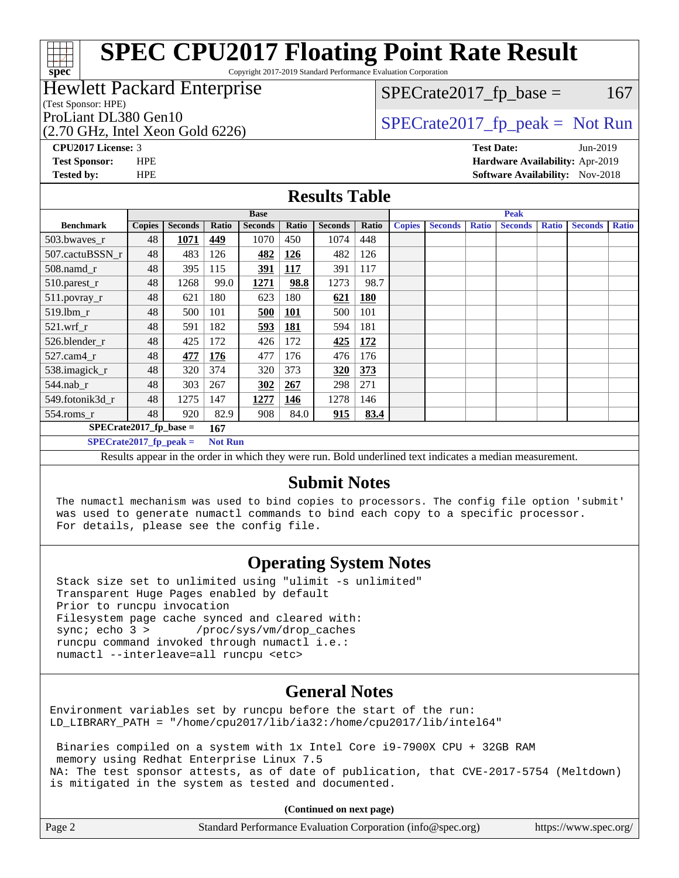Copyright 2017-2019 Standard Performance Evaluation Corporation

### Hewlett Packard Enterprise

(Test Sponsor: HPE)

(2.70 GHz, Intel Xeon Gold 6226)

 $SPECTate2017<sub>fr</sub> base = 167$ 

## ProLiant DL380 Gen10  $SPECTA 526$   $SPECTA 526$   $SPECTA 526$

**[spec](http://www.spec.org/)**

**[CPU2017 License:](http://www.spec.org/auto/cpu2017/Docs/result-fields.html#CPU2017License)** 3 **[Test Date:](http://www.spec.org/auto/cpu2017/Docs/result-fields.html#TestDate)** Jun-2019 **[Test Sponsor:](http://www.spec.org/auto/cpu2017/Docs/result-fields.html#TestSponsor)** HPE **[Hardware Availability:](http://www.spec.org/auto/cpu2017/Docs/result-fields.html#HardwareAvailability)** Apr-2019 **[Tested by:](http://www.spec.org/auto/cpu2017/Docs/result-fields.html#Testedby)** HPE **[Software Availability:](http://www.spec.org/auto/cpu2017/Docs/result-fields.html#SoftwareAvailability)** Nov-2018

### **[Results Table](http://www.spec.org/auto/cpu2017/Docs/result-fields.html#ResultsTable)**

|                                 | <b>Base</b>   |                |                |                |            | <b>Peak</b>    |       |               |                |              |                |              |                |              |
|---------------------------------|---------------|----------------|----------------|----------------|------------|----------------|-------|---------------|----------------|--------------|----------------|--------------|----------------|--------------|
| <b>Benchmark</b>                | <b>Copies</b> | <b>Seconds</b> | Ratio          | <b>Seconds</b> | Ratio      | <b>Seconds</b> | Ratio | <b>Copies</b> | <b>Seconds</b> | <b>Ratio</b> | <b>Seconds</b> | <b>Ratio</b> | <b>Seconds</b> | <b>Ratio</b> |
| 503.bwayes_r                    | 48            | 1071           | 449            | 1070           | 450        | 1074           | 448   |               |                |              |                |              |                |              |
| 507.cactuBSSN r                 | 48            | 483            | 126            | 482            | <u>126</u> | 482            | 126   |               |                |              |                |              |                |              |
| $508$ .namd_r                   | 48            | 395            | 115            | 391            | <b>117</b> | 391            | 117   |               |                |              |                |              |                |              |
| 510.parest_r                    | 48            | 1268           | 99.0           | 1271           | 98.8       | 1273           | 98.7  |               |                |              |                |              |                |              |
| 511.povray_r                    | 48            | 621            | 180            | 623            | 180        | 621            | 180   |               |                |              |                |              |                |              |
| 519.lbm r                       | 48            | 500            | 101            | 500            | <u>101</u> | 500            | 101   |               |                |              |                |              |                |              |
| $521$ .wrf r                    | 48            | 591            | 182            | 593            | 181        | 594            | 181   |               |                |              |                |              |                |              |
| 526.blender_r                   | 48            | 425            | 172            | 426            | 172        | 425            | 172   |               |                |              |                |              |                |              |
| 527.cam4 r                      | 48            | 477            | 176            | 477            | 176        | 476            | 176   |               |                |              |                |              |                |              |
| 538.imagick_r                   | 48            | 320            | 374            | 320            | 373        | 320            | 373   |               |                |              |                |              |                |              |
| 544.nab r                       | 48            | 303            | 267            | 302            | 267        | 298            | 271   |               |                |              |                |              |                |              |
| 549.fotonik3d r                 | 48            | 1275           | 147            | 1277           | 146        | 1278           | 146   |               |                |              |                |              |                |              |
| $554$ .roms_r                   | 48            | 920            | 82.9           | 908            | 84.0       | 915            | 83.4  |               |                |              |                |              |                |              |
| $SPECrate2017$ fp base =<br>167 |               |                |                |                |            |                |       |               |                |              |                |              |                |              |
| $SPECrate2017_fp_peak =$        |               |                | <b>Not Run</b> |                |            |                |       |               |                |              |                |              |                |              |
|                                 |               |                |                |                |            | - - -          |       |               | $\sim$ $\sim$  |              | $\sim$ $\sim$  |              |                |              |

Results appear in the [order in which they were run.](http://www.spec.org/auto/cpu2017/Docs/result-fields.html#RunOrder) Bold underlined text [indicates a median measurement.](http://www.spec.org/auto/cpu2017/Docs/result-fields.html#Median)

### **[Submit Notes](http://www.spec.org/auto/cpu2017/Docs/result-fields.html#SubmitNotes)**

 The numactl mechanism was used to bind copies to processors. The config file option 'submit' was used to generate numactl commands to bind each copy to a specific processor. For details, please see the config file.

### **[Operating System Notes](http://www.spec.org/auto/cpu2017/Docs/result-fields.html#OperatingSystemNotes)**

 Stack size set to unlimited using "ulimit -s unlimited" Transparent Huge Pages enabled by default Prior to runcpu invocation Filesystem page cache synced and cleared with: sync; echo 3 > /proc/sys/vm/drop\_caches runcpu command invoked through numactl i.e.: numactl --interleave=all runcpu <etc>

### **[General Notes](http://www.spec.org/auto/cpu2017/Docs/result-fields.html#GeneralNotes)**

Environment variables set by runcpu before the start of the run: LD\_LIBRARY\_PATH = "/home/cpu2017/lib/ia32:/home/cpu2017/lib/intel64"

 Binaries compiled on a system with 1x Intel Core i9-7900X CPU + 32GB RAM memory using Redhat Enterprise Linux 7.5 NA: The test sponsor attests, as of date of publication, that CVE-2017-5754 (Meltdown) is mitigated in the system as tested and documented.

**(Continued on next page)**

| Page 2 | Standard Performance Evaluation Corporation (info@spec.org) | https://www.spec.org/ |
|--------|-------------------------------------------------------------|-----------------------|
|--------|-------------------------------------------------------------|-----------------------|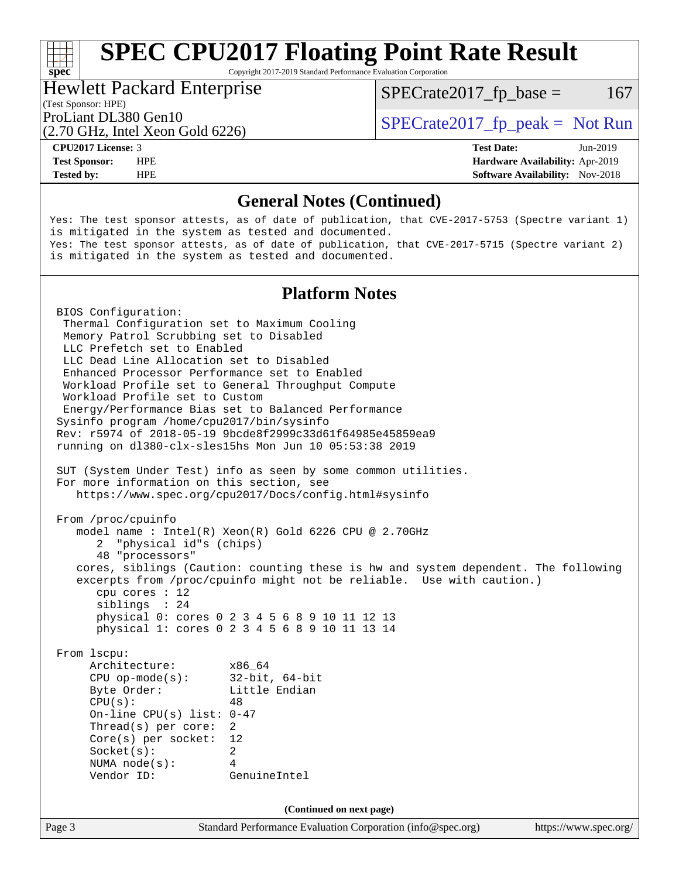Copyright 2017-2019 Standard Performance Evaluation Corporation

### Hewlett Packard Enterprise

 $SPECTate2017<sub>fr</sub> base = 167$ 

### (Test Sponsor: HPE)

(2.70 GHz, Intel Xeon Gold 6226)

ProLiant DL380 Gen10  $SPECTA 526$   $SPECTA 526$   $SPECTA 526$ 

**[spec](http://www.spec.org/)**<sup>®</sup>

**[Tested by:](http://www.spec.org/auto/cpu2017/Docs/result-fields.html#Testedby)** HPE **[Software Availability:](http://www.spec.org/auto/cpu2017/Docs/result-fields.html#SoftwareAvailability)** Nov-2018

**[CPU2017 License:](http://www.spec.org/auto/cpu2017/Docs/result-fields.html#CPU2017License)** 3 **[Test Date:](http://www.spec.org/auto/cpu2017/Docs/result-fields.html#TestDate)** Jun-2019 **[Test Sponsor:](http://www.spec.org/auto/cpu2017/Docs/result-fields.html#TestSponsor)** HPE **[Hardware Availability:](http://www.spec.org/auto/cpu2017/Docs/result-fields.html#HardwareAvailability)** Apr-2019

### **[General Notes \(Continued\)](http://www.spec.org/auto/cpu2017/Docs/result-fields.html#GeneralNotes)**

Yes: The test sponsor attests, as of date of publication, that CVE-2017-5753 (Spectre variant 1) is mitigated in the system as tested and documented. Yes: The test sponsor attests, as of date of publication, that CVE-2017-5715 (Spectre variant 2) is mitigated in the system as tested and documented.

### **[Platform Notes](http://www.spec.org/auto/cpu2017/Docs/result-fields.html#PlatformNotes)**

Page 3 Standard Performance Evaluation Corporation [\(info@spec.org\)](mailto:info@spec.org) <https://www.spec.org/> BIOS Configuration: Thermal Configuration set to Maximum Cooling Memory Patrol Scrubbing set to Disabled LLC Prefetch set to Enabled LLC Dead Line Allocation set to Disabled Enhanced Processor Performance set to Enabled Workload Profile set to General Throughput Compute Workload Profile set to Custom Energy/Performance Bias set to Balanced Performance Sysinfo program /home/cpu2017/bin/sysinfo Rev: r5974 of 2018-05-19 9bcde8f2999c33d61f64985e45859ea9 running on dl380-clx-sles15hs Mon Jun 10 05:53:38 2019 SUT (System Under Test) info as seen by some common utilities. For more information on this section, see <https://www.spec.org/cpu2017/Docs/config.html#sysinfo> From /proc/cpuinfo model name : Intel(R) Xeon(R) Gold 6226 CPU @ 2.70GHz 2 "physical id"s (chips) 48 "processors" cores, siblings (Caution: counting these is hw and system dependent. The following excerpts from /proc/cpuinfo might not be reliable. Use with caution.) cpu cores : 12 siblings : 24 physical 0: cores 0 2 3 4 5 6 8 9 10 11 12 13 physical 1: cores 0 2 3 4 5 6 8 9 10 11 13 14 From lscpu: Architecture: x86\_64 CPU op-mode(s): 32-bit, 64-bit Byte Order: Little Endian  $CPU(s):$  48 On-line CPU(s) list: 0-47 Thread(s) per core: 2 Core(s) per socket: 12 Socket(s): 2 NUMA node(s): 4 Vendor ID: GenuineIntel **(Continued on next page)**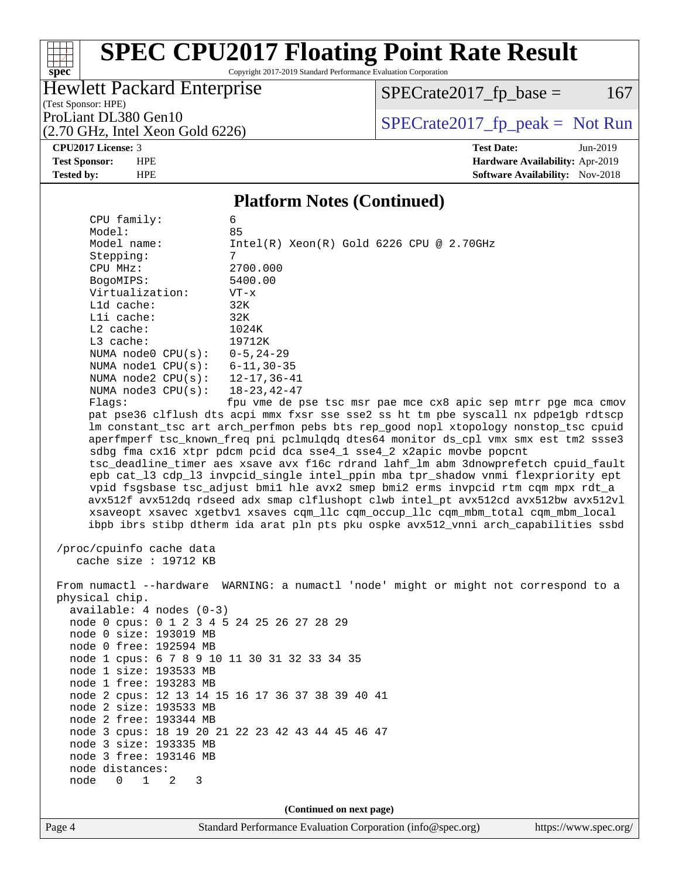Copyright 2017-2019 Standard Performance Evaluation Corporation

## Hewlett Packard Enterprise

 $SPECrate2017_fp\_base = 167$ 

(Test Sponsor: HPE) (2.70 GHz, Intel Xeon Gold 6226)

ProLiant DL380 Gen10<br>  $(2.70 \text{ GHz} \text{ Intel } X \text{eon } \text{Gold } 6226)$  [SPECrate2017\\_fp\\_peak =](http://www.spec.org/auto/cpu2017/Docs/result-fields.html#SPECrate2017fppeak) Not Run

**[spec](http://www.spec.org/)**

 $\pm$ 

**[CPU2017 License:](http://www.spec.org/auto/cpu2017/Docs/result-fields.html#CPU2017License)** 3 **[Test Date:](http://www.spec.org/auto/cpu2017/Docs/result-fields.html#TestDate)** Jun-2019 **[Test Sponsor:](http://www.spec.org/auto/cpu2017/Docs/result-fields.html#TestSponsor)** HPE **[Hardware Availability:](http://www.spec.org/auto/cpu2017/Docs/result-fields.html#HardwareAvailability)** Apr-2019 **[Tested by:](http://www.spec.org/auto/cpu2017/Docs/result-fields.html#Testedby)** HPE **HPE [Software Availability:](http://www.spec.org/auto/cpu2017/Docs/result-fields.html#SoftwareAvailability)** Nov-2018

### **[Platform Notes \(Continued\)](http://www.spec.org/auto/cpu2017/Docs/result-fields.html#PlatformNotes)**

| Page 4                                                                                                                                                                                                                                                                                                                   | Standard Performance Evaluation Corporation (info@spec.org)<br>https://www.spec.org/                                                                                                                                                                                                                                                                                                                                                                                                                                                                                                                                                                                                                                                                                                                                                                                                                                                                                                                |
|--------------------------------------------------------------------------------------------------------------------------------------------------------------------------------------------------------------------------------------------------------------------------------------------------------------------------|-----------------------------------------------------------------------------------------------------------------------------------------------------------------------------------------------------------------------------------------------------------------------------------------------------------------------------------------------------------------------------------------------------------------------------------------------------------------------------------------------------------------------------------------------------------------------------------------------------------------------------------------------------------------------------------------------------------------------------------------------------------------------------------------------------------------------------------------------------------------------------------------------------------------------------------------------------------------------------------------------------|
|                                                                                                                                                                                                                                                                                                                          | (Continued on next page)                                                                                                                                                                                                                                                                                                                                                                                                                                                                                                                                                                                                                                                                                                                                                                                                                                                                                                                                                                            |
| physical chip.<br>$available: 4 nodes (0-3)$<br>node 0 size: 193019 MB<br>node 0 free: 192594 MB<br>node 1 size: 193533 MB<br>node 1 free: 193283 MB<br>node 2 size: 193533 MB<br>node 2 free: 193344 MB<br>node 3 size: 193335 MB<br>node 3 free: 193146 MB<br>node distances:<br>node<br>$\Omega$<br>$\mathbf{1}$<br>2 | node 0 cpus: 0 1 2 3 4 5 24 25 26 27 28 29<br>node 1 cpus: 6 7 8 9 10 11 30 31 32 33 34 35<br>node 2 cpus: 12 13 14 15 16 17 36 37 38 39 40 41<br>node 3 cpus: 18 19 20 21 22 23 42 43 44 45 46 47<br>3                                                                                                                                                                                                                                                                                                                                                                                                                                                                                                                                                                                                                                                                                                                                                                                             |
| /proc/cpuinfo cache data<br>cache size : $19712$ KB                                                                                                                                                                                                                                                                      | xsaveopt xsavec xgetbvl xsaves cqm_llc cqm_occup_llc cqm_mbm_total cqm_mbm_local<br>ibpb ibrs stibp dtherm ida arat pln pts pku ospke avx512_vnni arch_capabilities ssbd<br>From numactl --hardware WARNING: a numactl 'node' might or might not correspond to a                                                                                                                                                                                                                                                                                                                                                                                                                                                                                                                                                                                                                                                                                                                                    |
| Model:<br>Model name:<br>Stepping:<br>CPU MHz:<br>BogoMIPS:<br>Virtualization:<br>L1d cache:<br>Lli cache:<br>$L2$ cache:<br>L3 cache:<br>NUMA node0 CPU(s):<br>NUMA $node3$ $CPU(s):$<br>Flaqs:                                                                                                                         | 85<br>$Intel(R)$ Xeon $(R)$ Gold 6226 CPU @ 2.70GHz<br>7<br>2700.000<br>5400.00<br>$VT - x$<br>32K<br>32K<br>1024K<br>19712K<br>$0 - 5, 24 - 29$<br>NUMA node1 CPU(s): 6-11,30-35<br>NUMA node2 CPU(s): 12-17,36-41<br>18-23,42-47<br>fpu vme de pse tsc msr pae mce cx8 apic sep mtrr pge mca cmov<br>pat pse36 clflush dts acpi mmx fxsr sse sse2 ss ht tm pbe syscall nx pdpelgb rdtscp<br>lm constant_tsc art arch_perfmon pebs bts rep_good nopl xtopology nonstop_tsc cpuid<br>aperfmperf tsc_known_freq pni pclmulqdq dtes64 monitor ds_cpl vmx smx est tm2 ssse3<br>sdbg fma cx16 xtpr pdcm pcid dca sse4_1 sse4_2 x2apic movbe popcnt<br>tsc_deadline_timer aes xsave avx f16c rdrand lahf_lm abm 3dnowprefetch cpuid_fault<br>epb cat_13 cdp_13 invpcid_single intel_ppin mba tpr_shadow vnmi flexpriority ept<br>vpid fsgsbase tsc_adjust bmil hle avx2 smep bmi2 erms invpcid rtm cqm mpx rdt_a<br>avx512f avx512dq rdseed adx smap clflushopt clwb intel_pt avx512cd avx512bw avx512vl |
| CPU family:                                                                                                                                                                                                                                                                                                              | 6                                                                                                                                                                                                                                                                                                                                                                                                                                                                                                                                                                                                                                                                                                                                                                                                                                                                                                                                                                                                   |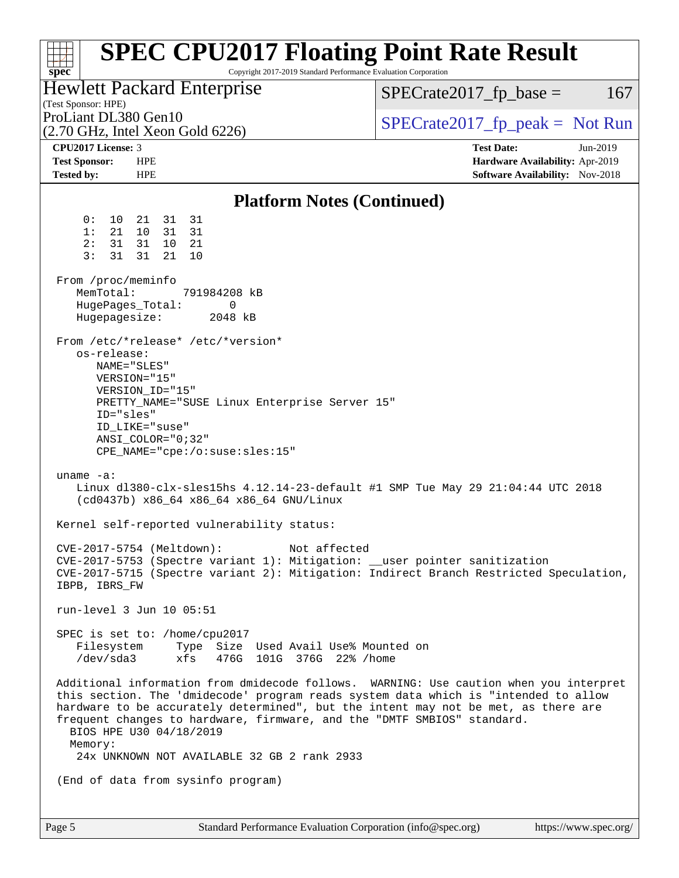| <b>SPEC CPU2017 Floating Point Rate Result</b><br>Copyright 2017-2019 Standard Performance Evaluation Corporation<br>$spec^*$                                                                                                                                                                                                                                                                                                                       |                                                                                                     |
|-----------------------------------------------------------------------------------------------------------------------------------------------------------------------------------------------------------------------------------------------------------------------------------------------------------------------------------------------------------------------------------------------------------------------------------------------------|-----------------------------------------------------------------------------------------------------|
| Hewlett Packard Enterprise<br>(Test Sponsor: HPE)                                                                                                                                                                                                                                                                                                                                                                                                   | $SPECrate2017_fp\_base =$<br>167                                                                    |
| ProLiant DL380 Gen10<br>$(2.70 \text{ GHz}, \text{Intel Xeon Gold } 6226)$                                                                                                                                                                                                                                                                                                                                                                          | $SPECrate2017_fp\_peak = Not Run$                                                                   |
| <b>CPU2017 License: 3</b><br><b>Test Sponsor:</b><br><b>HPE</b><br><b>Tested by:</b><br><b>HPE</b>                                                                                                                                                                                                                                                                                                                                                  | <b>Test Date:</b><br>Jun-2019<br>Hardware Availability: Apr-2019<br>Software Availability: Nov-2018 |
| <b>Platform Notes (Continued)</b>                                                                                                                                                                                                                                                                                                                                                                                                                   |                                                                                                     |
| 0 :<br>31<br>$10 \,$<br>21<br>31<br>10<br>1:<br>21<br>31<br>31<br>31<br>31<br>10<br>21<br>2:<br>3:<br>31<br>31<br>21<br>10<br>From /proc/meminfo<br>MemTotal:<br>791984208 kB                                                                                                                                                                                                                                                                       |                                                                                                     |
| HugePages_Total:<br>0<br>Hugepagesize:<br>2048 kB                                                                                                                                                                                                                                                                                                                                                                                                   |                                                                                                     |
| From /etc/*release* /etc/*version*<br>os-release:<br>NAME="SLES"<br>VERSION="15"<br>VERSION_ID="15"<br>PRETTY_NAME="SUSE Linux Enterprise Server 15"<br>ID="sles"<br>ID_LIKE="suse"<br>$ANSI$ _COLOR=" $0:32$ "<br>$CPE\_NAME='cpe://o:suse: sles:15"$<br>uname $-a$ :<br>Linux dl380-clx-sles15hs 4.12.14-23-default #1 SMP Tue May 29 21:04:44 UTC 2018<br>(cd0437b) x86_64 x86_64 x86_64 GNU/Linux<br>Kernel self-reported vulnerability status: |                                                                                                     |
| CVE-2017-5754 (Meltdown):<br>Not affected<br>CVE-2017-5753 (Spectre variant 1): Mitigation: __user pointer sanitization<br>CVE-2017-5715 (Spectre variant 2): Mitigation: Indirect Branch Restricted Speculation,<br>IBPB, IBRS_FW                                                                                                                                                                                                                  |                                                                                                     |
| run-level 3 Jun 10 05:51                                                                                                                                                                                                                                                                                                                                                                                                                            |                                                                                                     |
| SPEC is set to: /home/cpu2017<br>Filesystem Type Size Used Avail Use% Mounted on<br>/dev/sda3<br>xfs<br>476G 101G 376G 22% / home                                                                                                                                                                                                                                                                                                                   |                                                                                                     |
| Additional information from dmidecode follows. WARNING: Use caution when you interpret<br>this section. The 'dmidecode' program reads system data which is "intended to allow<br>hardware to be accurately determined", but the intent may not be met, as there are<br>frequent changes to hardware, firmware, and the "DMTF SMBIOS" standard.<br>BIOS HPE U30 04/18/2019<br>Memory:<br>24x UNKNOWN NOT AVAILABLE 32 GB 2 rank 2933                 |                                                                                                     |
| (End of data from sysinfo program)                                                                                                                                                                                                                                                                                                                                                                                                                  |                                                                                                     |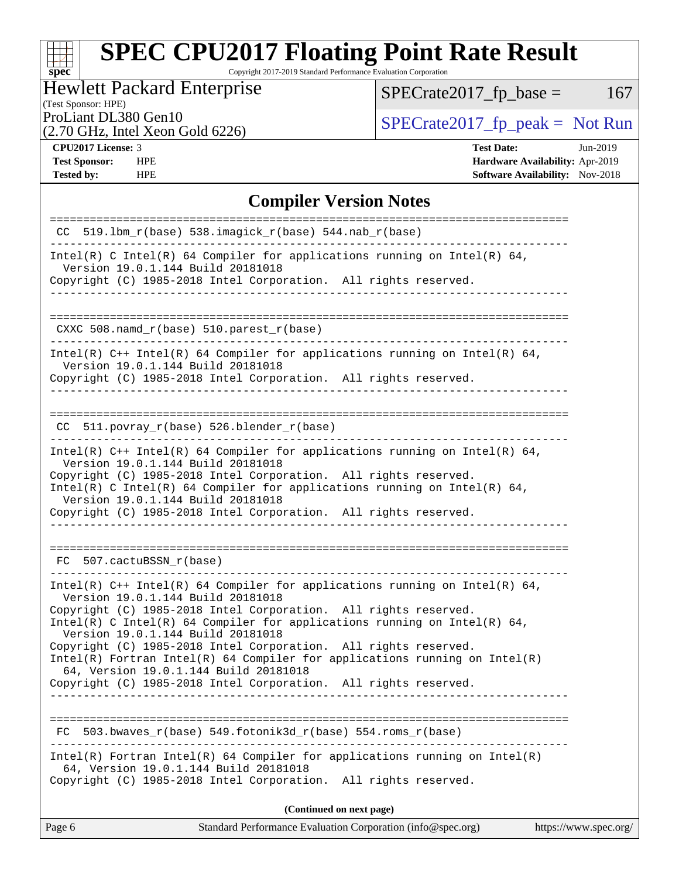Copyright 2017-2019 Standard Performance Evaluation Corporation

## Hewlett Packard Enterprise

(Test Sponsor: HPE)

 $SPECTate2017_fp\_base = 167$ 

(2.70 GHz, Intel Xeon Gold 6226)

ProLiant DL380 Gen10<br>  $(2.70 \text{ GHz} \text{ Intel } X \text{eon } \text{Gold } 6226)$  [SPECrate2017\\_fp\\_peak =](http://www.spec.org/auto/cpu2017/Docs/result-fields.html#SPECrate2017fppeak) Not Run

**[spec](http://www.spec.org/)**

**[Tested by:](http://www.spec.org/auto/cpu2017/Docs/result-fields.html#Testedby)** HPE **HPE [Software Availability:](http://www.spec.org/auto/cpu2017/Docs/result-fields.html#SoftwareAvailability)** Nov-2018

**[CPU2017 License:](http://www.spec.org/auto/cpu2017/Docs/result-fields.html#CPU2017License)** 3 **[Test Date:](http://www.spec.org/auto/cpu2017/Docs/result-fields.html#TestDate)** Jun-2019 **[Test Sponsor:](http://www.spec.org/auto/cpu2017/Docs/result-fields.html#TestSponsor)** HPE **[Hardware Availability:](http://www.spec.org/auto/cpu2017/Docs/result-fields.html#HardwareAvailability)** Apr-2019

### **[Compiler Version Notes](http://www.spec.org/auto/cpu2017/Docs/result-fields.html#CompilerVersionNotes)**

| $CC$ 519.1bm_r(base) 538.imagick_r(base) 544.nab_r(base)                                                                                                                                                                                                                                                                                                                                                                                                                                                                                                             |
|----------------------------------------------------------------------------------------------------------------------------------------------------------------------------------------------------------------------------------------------------------------------------------------------------------------------------------------------------------------------------------------------------------------------------------------------------------------------------------------------------------------------------------------------------------------------|
| Intel(R) C Intel(R) 64 Compiler for applications running on Intel(R) 64,<br>Version 19.0.1.144 Build 20181018<br>Copyright (C) 1985-2018 Intel Corporation. All rights reserved.                                                                                                                                                                                                                                                                                                                                                                                     |
| ____________________________________                                                                                                                                                                                                                                                                                                                                                                                                                                                                                                                                 |
| CXXC 508.namd_r(base) 510.parest_r(base)                                                                                                                                                                                                                                                                                                                                                                                                                                                                                                                             |
| Intel(R) $C++$ Intel(R) 64 Compiler for applications running on Intel(R) 64,<br>Version 19.0.1.144 Build 20181018<br>Copyright (C) 1985-2018 Intel Corporation. All rights reserved.                                                                                                                                                                                                                                                                                                                                                                                 |
| $CC$ 511.povray $r(base)$ 526.blender $r(base)$                                                                                                                                                                                                                                                                                                                                                                                                                                                                                                                      |
| Intel(R) $C++$ Intel(R) 64 Compiler for applications running on Intel(R) 64,<br>Version 19.0.1.144 Build 20181018<br>Copyright (C) 1985-2018 Intel Corporation. All rights reserved.<br>Intel(R) C Intel(R) 64 Compiler for applications running on Intel(R) 64,<br>Version 19.0.1.144 Build 20181018<br>Copyright (C) 1985-2018 Intel Corporation. All rights reserved.                                                                                                                                                                                             |
| FC 507.cactuBSSN r(base)                                                                                                                                                                                                                                                                                                                                                                                                                                                                                                                                             |
| Intel(R) $C++$ Intel(R) 64 Compiler for applications running on Intel(R) 64,<br>Version 19.0.1.144 Build 20181018<br>Copyright (C) 1985-2018 Intel Corporation. All rights reserved.<br>Intel(R) C Intel(R) 64 Compiler for applications running on Intel(R) 64,<br>Version 19.0.1.144 Build 20181018<br>Copyright (C) 1985-2018 Intel Corporation. All rights reserved.<br>$Intel(R)$ Fortran Intel(R) 64 Compiler for applications running on Intel(R)<br>64, Version 19.0.1.144 Build 20181018<br>Copyright (C) 1985-2018 Intel Corporation. All rights reserved. |
| $503.bwaves_r(base) 549.fotonik3d_r(base) 554.roms_r(base)$<br>FC                                                                                                                                                                                                                                                                                                                                                                                                                                                                                                    |
| $Intel(R)$ Fortran Intel(R) 64 Compiler for applications running on Intel(R)<br>64, Version 19.0.1.144 Build 20181018<br>Copyright (C) 1985-2018 Intel Corporation. All rights reserved.                                                                                                                                                                                                                                                                                                                                                                             |
| (Continued on next page)                                                                                                                                                                                                                                                                                                                                                                                                                                                                                                                                             |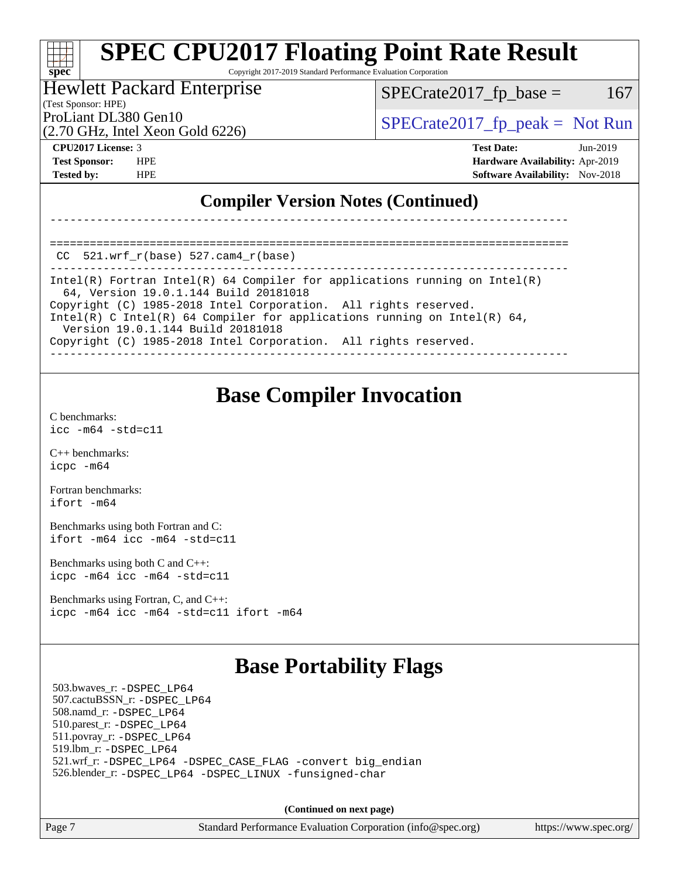Copyright 2017-2019 Standard Performance Evaluation Corporation

### Hewlett Packard Enterprise

(Test Sponsor: HPE)

 $SPECTate2017<sub>fr</sub> base = 167$ 

(2.70 GHz, Intel Xeon Gold 6226)

ProLiant DL380 Gen10  $SPECTA 526$   $SPECTA 526$   $SPECTA 526$ 

**[spec](http://www.spec.org/)**

**[CPU2017 License:](http://www.spec.org/auto/cpu2017/Docs/result-fields.html#CPU2017License)** 3 **[Test Date:](http://www.spec.org/auto/cpu2017/Docs/result-fields.html#TestDate)** Jun-2019 **[Test Sponsor:](http://www.spec.org/auto/cpu2017/Docs/result-fields.html#TestSponsor)** HPE **[Hardware Availability:](http://www.spec.org/auto/cpu2017/Docs/result-fields.html#HardwareAvailability)** Apr-2019 **[Tested by:](http://www.spec.org/auto/cpu2017/Docs/result-fields.html#Testedby)** HPE **[Software Availability:](http://www.spec.org/auto/cpu2017/Docs/result-fields.html#SoftwareAvailability)** Nov-2018

### **[Compiler Version Notes \(Continued\)](http://www.spec.org/auto/cpu2017/Docs/result-fields.html#CompilerVersionNotes)**

==============================================================================  $CC$  521.wrf $r(base)$  527.cam $4$  $r(base)$ 

------------------------------------------------------------------------------ Intel(R) Fortran Intel(R) 64 Compiler for applications running on Intel(R) 64, Version 19.0.1.144 Build 20181018 Copyright (C) 1985-2018 Intel Corporation. All rights reserved. Intel(R) C Intel(R) 64 Compiler for applications running on Intel(R) 64, Version 19.0.1.144 Build 20181018 Copyright (C) 1985-2018 Intel Corporation. All rights reserved. ------------------------------------------------------------------------------

------------------------------------------------------------------------------

## **[Base Compiler Invocation](http://www.spec.org/auto/cpu2017/Docs/result-fields.html#BaseCompilerInvocation)**

[C benchmarks](http://www.spec.org/auto/cpu2017/Docs/result-fields.html#Cbenchmarks): [icc -m64 -std=c11](http://www.spec.org/cpu2017/results/res2019q3/cpu2017-20190709-16090.flags.html#user_CCbase_intel_icc_64bit_c11_33ee0cdaae7deeeab2a9725423ba97205ce30f63b9926c2519791662299b76a0318f32ddfffdc46587804de3178b4f9328c46fa7c2b0cd779d7a61945c91cd35)

[C++ benchmarks:](http://www.spec.org/auto/cpu2017/Docs/result-fields.html#CXXbenchmarks) [icpc -m64](http://www.spec.org/cpu2017/results/res2019q3/cpu2017-20190709-16090.flags.html#user_CXXbase_intel_icpc_64bit_4ecb2543ae3f1412ef961e0650ca070fec7b7afdcd6ed48761b84423119d1bf6bdf5cad15b44d48e7256388bc77273b966e5eb805aefd121eb22e9299b2ec9d9)

[Fortran benchmarks](http://www.spec.org/auto/cpu2017/Docs/result-fields.html#Fortranbenchmarks): [ifort -m64](http://www.spec.org/cpu2017/results/res2019q3/cpu2017-20190709-16090.flags.html#user_FCbase_intel_ifort_64bit_24f2bb282fbaeffd6157abe4f878425411749daecae9a33200eee2bee2fe76f3b89351d69a8130dd5949958ce389cf37ff59a95e7a40d588e8d3a57e0c3fd751)

[Benchmarks using both Fortran and C](http://www.spec.org/auto/cpu2017/Docs/result-fields.html#BenchmarksusingbothFortranandC): [ifort -m64](http://www.spec.org/cpu2017/results/res2019q3/cpu2017-20190709-16090.flags.html#user_CC_FCbase_intel_ifort_64bit_24f2bb282fbaeffd6157abe4f878425411749daecae9a33200eee2bee2fe76f3b89351d69a8130dd5949958ce389cf37ff59a95e7a40d588e8d3a57e0c3fd751) [icc -m64 -std=c11](http://www.spec.org/cpu2017/results/res2019q3/cpu2017-20190709-16090.flags.html#user_CC_FCbase_intel_icc_64bit_c11_33ee0cdaae7deeeab2a9725423ba97205ce30f63b9926c2519791662299b76a0318f32ddfffdc46587804de3178b4f9328c46fa7c2b0cd779d7a61945c91cd35)

[Benchmarks using both C and C++](http://www.spec.org/auto/cpu2017/Docs/result-fields.html#BenchmarksusingbothCandCXX): [icpc -m64](http://www.spec.org/cpu2017/results/res2019q3/cpu2017-20190709-16090.flags.html#user_CC_CXXbase_intel_icpc_64bit_4ecb2543ae3f1412ef961e0650ca070fec7b7afdcd6ed48761b84423119d1bf6bdf5cad15b44d48e7256388bc77273b966e5eb805aefd121eb22e9299b2ec9d9) [icc -m64 -std=c11](http://www.spec.org/cpu2017/results/res2019q3/cpu2017-20190709-16090.flags.html#user_CC_CXXbase_intel_icc_64bit_c11_33ee0cdaae7deeeab2a9725423ba97205ce30f63b9926c2519791662299b76a0318f32ddfffdc46587804de3178b4f9328c46fa7c2b0cd779d7a61945c91cd35)

[Benchmarks using Fortran, C, and C++:](http://www.spec.org/auto/cpu2017/Docs/result-fields.html#BenchmarksusingFortranCandCXX) [icpc -m64](http://www.spec.org/cpu2017/results/res2019q3/cpu2017-20190709-16090.flags.html#user_CC_CXX_FCbase_intel_icpc_64bit_4ecb2543ae3f1412ef961e0650ca070fec7b7afdcd6ed48761b84423119d1bf6bdf5cad15b44d48e7256388bc77273b966e5eb805aefd121eb22e9299b2ec9d9) [icc -m64 -std=c11](http://www.spec.org/cpu2017/results/res2019q3/cpu2017-20190709-16090.flags.html#user_CC_CXX_FCbase_intel_icc_64bit_c11_33ee0cdaae7deeeab2a9725423ba97205ce30f63b9926c2519791662299b76a0318f32ddfffdc46587804de3178b4f9328c46fa7c2b0cd779d7a61945c91cd35) [ifort -m64](http://www.spec.org/cpu2017/results/res2019q3/cpu2017-20190709-16090.flags.html#user_CC_CXX_FCbase_intel_ifort_64bit_24f2bb282fbaeffd6157abe4f878425411749daecae9a33200eee2bee2fe76f3b89351d69a8130dd5949958ce389cf37ff59a95e7a40d588e8d3a57e0c3fd751)

## **[Base Portability Flags](http://www.spec.org/auto/cpu2017/Docs/result-fields.html#BasePortabilityFlags)**

 503.bwaves\_r: [-DSPEC\\_LP64](http://www.spec.org/cpu2017/results/res2019q3/cpu2017-20190709-16090.flags.html#suite_basePORTABILITY503_bwaves_r_DSPEC_LP64) 507.cactuBSSN\_r: [-DSPEC\\_LP64](http://www.spec.org/cpu2017/results/res2019q3/cpu2017-20190709-16090.flags.html#suite_basePORTABILITY507_cactuBSSN_r_DSPEC_LP64) 508.namd\_r: [-DSPEC\\_LP64](http://www.spec.org/cpu2017/results/res2019q3/cpu2017-20190709-16090.flags.html#suite_basePORTABILITY508_namd_r_DSPEC_LP64) 510.parest\_r: [-DSPEC\\_LP64](http://www.spec.org/cpu2017/results/res2019q3/cpu2017-20190709-16090.flags.html#suite_basePORTABILITY510_parest_r_DSPEC_LP64) 511.povray\_r: [-DSPEC\\_LP64](http://www.spec.org/cpu2017/results/res2019q3/cpu2017-20190709-16090.flags.html#suite_basePORTABILITY511_povray_r_DSPEC_LP64) 519.lbm\_r: [-DSPEC\\_LP64](http://www.spec.org/cpu2017/results/res2019q3/cpu2017-20190709-16090.flags.html#suite_basePORTABILITY519_lbm_r_DSPEC_LP64) 521.wrf\_r: [-DSPEC\\_LP64](http://www.spec.org/cpu2017/results/res2019q3/cpu2017-20190709-16090.flags.html#suite_basePORTABILITY521_wrf_r_DSPEC_LP64) [-DSPEC\\_CASE\\_FLAG](http://www.spec.org/cpu2017/results/res2019q3/cpu2017-20190709-16090.flags.html#b521.wrf_r_baseCPORTABILITY_DSPEC_CASE_FLAG) [-convert big\\_endian](http://www.spec.org/cpu2017/results/res2019q3/cpu2017-20190709-16090.flags.html#user_baseFPORTABILITY521_wrf_r_convert_big_endian_c3194028bc08c63ac5d04de18c48ce6d347e4e562e8892b8bdbdc0214820426deb8554edfa529a3fb25a586e65a3d812c835984020483e7e73212c4d31a38223) 526.blender\_r: [-DSPEC\\_LP64](http://www.spec.org/cpu2017/results/res2019q3/cpu2017-20190709-16090.flags.html#suite_basePORTABILITY526_blender_r_DSPEC_LP64) [-DSPEC\\_LINUX](http://www.spec.org/cpu2017/results/res2019q3/cpu2017-20190709-16090.flags.html#b526.blender_r_baseCPORTABILITY_DSPEC_LINUX) [-funsigned-char](http://www.spec.org/cpu2017/results/res2019q3/cpu2017-20190709-16090.flags.html#user_baseCPORTABILITY526_blender_r_force_uchar_40c60f00ab013830e2dd6774aeded3ff59883ba5a1fc5fc14077f794d777847726e2a5858cbc7672e36e1b067e7e5c1d9a74f7176df07886a243d7cc18edfe67)

**(Continued on next page)**

Page 7 Standard Performance Evaluation Corporation [\(info@spec.org\)](mailto:info@spec.org) <https://www.spec.org/>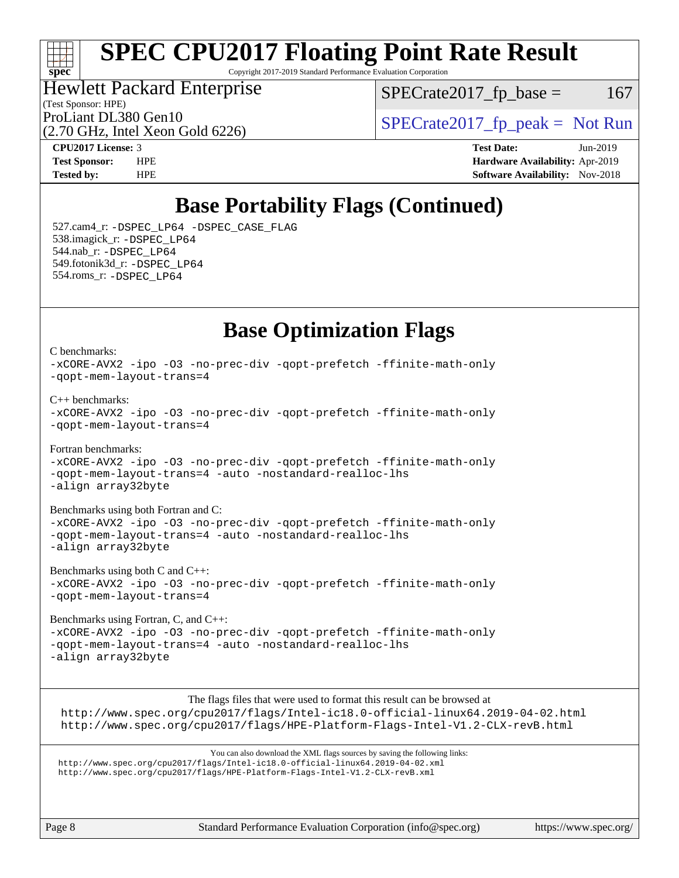### ti h **[spec](http://www.spec.org/)**

# **[SPEC CPU2017 Floating Point Rate Result](http://www.spec.org/auto/cpu2017/Docs/result-fields.html#SPECCPU2017FloatingPointRateResult)**

Copyright 2017-2019 Standard Performance Evaluation Corporation

### (Test Sponsor: HPE) Hewlett Packard Enterprise

 $SPECTate2017<sub>fr</sub> base = 167$ 

(2.70 GHz, Intel Xeon Gold 6226)

ProLiant DL380 Gen10  $SPECTA 526$   $SPECTA 526$   $SPECTA 526$ 

[C benchmarks](http://www.spec.org/auto/cpu2017/Docs/result-fields.html#Cbenchmarks):

**[CPU2017 License:](http://www.spec.org/auto/cpu2017/Docs/result-fields.html#CPU2017License)** 3 **[Test Date:](http://www.spec.org/auto/cpu2017/Docs/result-fields.html#TestDate)** Jun-2019 **[Test Sponsor:](http://www.spec.org/auto/cpu2017/Docs/result-fields.html#TestSponsor)** HPE **[Hardware Availability:](http://www.spec.org/auto/cpu2017/Docs/result-fields.html#HardwareAvailability)** Apr-2019 **[Tested by:](http://www.spec.org/auto/cpu2017/Docs/result-fields.html#Testedby)** HPE **[Software Availability:](http://www.spec.org/auto/cpu2017/Docs/result-fields.html#SoftwareAvailability)** Nov-2018

# **[Base Portability Flags \(Continued\)](http://www.spec.org/auto/cpu2017/Docs/result-fields.html#BasePortabilityFlags)**

 527.cam4\_r: [-DSPEC\\_LP64](http://www.spec.org/cpu2017/results/res2019q3/cpu2017-20190709-16090.flags.html#suite_basePORTABILITY527_cam4_r_DSPEC_LP64) [-DSPEC\\_CASE\\_FLAG](http://www.spec.org/cpu2017/results/res2019q3/cpu2017-20190709-16090.flags.html#b527.cam4_r_baseCPORTABILITY_DSPEC_CASE_FLAG) 538.imagick\_r: [-DSPEC\\_LP64](http://www.spec.org/cpu2017/results/res2019q3/cpu2017-20190709-16090.flags.html#suite_basePORTABILITY538_imagick_r_DSPEC_LP64) 544.nab\_r: [-DSPEC\\_LP64](http://www.spec.org/cpu2017/results/res2019q3/cpu2017-20190709-16090.flags.html#suite_basePORTABILITY544_nab_r_DSPEC_LP64) 549.fotonik3d\_r: [-DSPEC\\_LP64](http://www.spec.org/cpu2017/results/res2019q3/cpu2017-20190709-16090.flags.html#suite_basePORTABILITY549_fotonik3d_r_DSPEC_LP64) 554.roms\_r: [-DSPEC\\_LP64](http://www.spec.org/cpu2017/results/res2019q3/cpu2017-20190709-16090.flags.html#suite_basePORTABILITY554_roms_r_DSPEC_LP64)

## **[Base Optimization Flags](http://www.spec.org/auto/cpu2017/Docs/result-fields.html#BaseOptimizationFlags)**

[-xCORE-AVX2](http://www.spec.org/cpu2017/results/res2019q3/cpu2017-20190709-16090.flags.html#user_CCbase_f-xCORE-AVX2) [-ipo](http://www.spec.org/cpu2017/results/res2019q3/cpu2017-20190709-16090.flags.html#user_CCbase_f-ipo) [-O3](http://www.spec.org/cpu2017/results/res2019q3/cpu2017-20190709-16090.flags.html#user_CCbase_f-O3) [-no-prec-div](http://www.spec.org/cpu2017/results/res2019q3/cpu2017-20190709-16090.flags.html#user_CCbase_f-no-prec-div) [-qopt-prefetch](http://www.spec.org/cpu2017/results/res2019q3/cpu2017-20190709-16090.flags.html#user_CCbase_f-qopt-prefetch) [-ffinite-math-only](http://www.spec.org/cpu2017/results/res2019q3/cpu2017-20190709-16090.flags.html#user_CCbase_f_finite_math_only_cb91587bd2077682c4b38af759c288ed7c732db004271a9512da14a4f8007909a5f1427ecbf1a0fb78ff2a814402c6114ac565ca162485bbcae155b5e4258871) [-qopt-mem-layout-trans=4](http://www.spec.org/cpu2017/results/res2019q3/cpu2017-20190709-16090.flags.html#user_CCbase_f-qopt-mem-layout-trans_fa39e755916c150a61361b7846f310bcdf6f04e385ef281cadf3647acec3f0ae266d1a1d22d972a7087a248fd4e6ca390a3634700869573d231a252c784941a8) [C++ benchmarks:](http://www.spec.org/auto/cpu2017/Docs/result-fields.html#CXXbenchmarks) [-xCORE-AVX2](http://www.spec.org/cpu2017/results/res2019q3/cpu2017-20190709-16090.flags.html#user_CXXbase_f-xCORE-AVX2) [-ipo](http://www.spec.org/cpu2017/results/res2019q3/cpu2017-20190709-16090.flags.html#user_CXXbase_f-ipo) [-O3](http://www.spec.org/cpu2017/results/res2019q3/cpu2017-20190709-16090.flags.html#user_CXXbase_f-O3) [-no-prec-div](http://www.spec.org/cpu2017/results/res2019q3/cpu2017-20190709-16090.flags.html#user_CXXbase_f-no-prec-div) [-qopt-prefetch](http://www.spec.org/cpu2017/results/res2019q3/cpu2017-20190709-16090.flags.html#user_CXXbase_f-qopt-prefetch) [-ffinite-math-only](http://www.spec.org/cpu2017/results/res2019q3/cpu2017-20190709-16090.flags.html#user_CXXbase_f_finite_math_only_cb91587bd2077682c4b38af759c288ed7c732db004271a9512da14a4f8007909a5f1427ecbf1a0fb78ff2a814402c6114ac565ca162485bbcae155b5e4258871) [-qopt-mem-layout-trans=4](http://www.spec.org/cpu2017/results/res2019q3/cpu2017-20190709-16090.flags.html#user_CXXbase_f-qopt-mem-layout-trans_fa39e755916c150a61361b7846f310bcdf6f04e385ef281cadf3647acec3f0ae266d1a1d22d972a7087a248fd4e6ca390a3634700869573d231a252c784941a8) [Fortran benchmarks](http://www.spec.org/auto/cpu2017/Docs/result-fields.html#Fortranbenchmarks): [-xCORE-AVX2](http://www.spec.org/cpu2017/results/res2019q3/cpu2017-20190709-16090.flags.html#user_FCbase_f-xCORE-AVX2) [-ipo](http://www.spec.org/cpu2017/results/res2019q3/cpu2017-20190709-16090.flags.html#user_FCbase_f-ipo) [-O3](http://www.spec.org/cpu2017/results/res2019q3/cpu2017-20190709-16090.flags.html#user_FCbase_f-O3) [-no-prec-div](http://www.spec.org/cpu2017/results/res2019q3/cpu2017-20190709-16090.flags.html#user_FCbase_f-no-prec-div) [-qopt-prefetch](http://www.spec.org/cpu2017/results/res2019q3/cpu2017-20190709-16090.flags.html#user_FCbase_f-qopt-prefetch) [-ffinite-math-only](http://www.spec.org/cpu2017/results/res2019q3/cpu2017-20190709-16090.flags.html#user_FCbase_f_finite_math_only_cb91587bd2077682c4b38af759c288ed7c732db004271a9512da14a4f8007909a5f1427ecbf1a0fb78ff2a814402c6114ac565ca162485bbcae155b5e4258871) [-qopt-mem-layout-trans=4](http://www.spec.org/cpu2017/results/res2019q3/cpu2017-20190709-16090.flags.html#user_FCbase_f-qopt-mem-layout-trans_fa39e755916c150a61361b7846f310bcdf6f04e385ef281cadf3647acec3f0ae266d1a1d22d972a7087a248fd4e6ca390a3634700869573d231a252c784941a8) [-auto](http://www.spec.org/cpu2017/results/res2019q3/cpu2017-20190709-16090.flags.html#user_FCbase_f-auto) [-nostandard-realloc-lhs](http://www.spec.org/cpu2017/results/res2019q3/cpu2017-20190709-16090.flags.html#user_FCbase_f_2003_std_realloc_82b4557e90729c0f113870c07e44d33d6f5a304b4f63d4c15d2d0f1fab99f5daaed73bdb9275d9ae411527f28b936061aa8b9c8f2d63842963b95c9dd6426b8a) [-align array32byte](http://www.spec.org/cpu2017/results/res2019q3/cpu2017-20190709-16090.flags.html#user_FCbase_align_array32byte_b982fe038af199962ba9a80c053b8342c548c85b40b8e86eb3cc33dee0d7986a4af373ac2d51c3f7cf710a18d62fdce2948f201cd044323541f22fc0fffc51b6)

[Benchmarks using both Fortran and C](http://www.spec.org/auto/cpu2017/Docs/result-fields.html#BenchmarksusingbothFortranandC): [-xCORE-AVX2](http://www.spec.org/cpu2017/results/res2019q3/cpu2017-20190709-16090.flags.html#user_CC_FCbase_f-xCORE-AVX2) [-ipo](http://www.spec.org/cpu2017/results/res2019q3/cpu2017-20190709-16090.flags.html#user_CC_FCbase_f-ipo) [-O3](http://www.spec.org/cpu2017/results/res2019q3/cpu2017-20190709-16090.flags.html#user_CC_FCbase_f-O3) [-no-prec-div](http://www.spec.org/cpu2017/results/res2019q3/cpu2017-20190709-16090.flags.html#user_CC_FCbase_f-no-prec-div) [-qopt-prefetch](http://www.spec.org/cpu2017/results/res2019q3/cpu2017-20190709-16090.flags.html#user_CC_FCbase_f-qopt-prefetch) [-ffinite-math-only](http://www.spec.org/cpu2017/results/res2019q3/cpu2017-20190709-16090.flags.html#user_CC_FCbase_f_finite_math_only_cb91587bd2077682c4b38af759c288ed7c732db004271a9512da14a4f8007909a5f1427ecbf1a0fb78ff2a814402c6114ac565ca162485bbcae155b5e4258871) [-qopt-mem-layout-trans=4](http://www.spec.org/cpu2017/results/res2019q3/cpu2017-20190709-16090.flags.html#user_CC_FCbase_f-qopt-mem-layout-trans_fa39e755916c150a61361b7846f310bcdf6f04e385ef281cadf3647acec3f0ae266d1a1d22d972a7087a248fd4e6ca390a3634700869573d231a252c784941a8) [-auto](http://www.spec.org/cpu2017/results/res2019q3/cpu2017-20190709-16090.flags.html#user_CC_FCbase_f-auto) [-nostandard-realloc-lhs](http://www.spec.org/cpu2017/results/res2019q3/cpu2017-20190709-16090.flags.html#user_CC_FCbase_f_2003_std_realloc_82b4557e90729c0f113870c07e44d33d6f5a304b4f63d4c15d2d0f1fab99f5daaed73bdb9275d9ae411527f28b936061aa8b9c8f2d63842963b95c9dd6426b8a) [-align array32byte](http://www.spec.org/cpu2017/results/res2019q3/cpu2017-20190709-16090.flags.html#user_CC_FCbase_align_array32byte_b982fe038af199962ba9a80c053b8342c548c85b40b8e86eb3cc33dee0d7986a4af373ac2d51c3f7cf710a18d62fdce2948f201cd044323541f22fc0fffc51b6)

[Benchmarks using both C and C++](http://www.spec.org/auto/cpu2017/Docs/result-fields.html#BenchmarksusingbothCandCXX): [-xCORE-AVX2](http://www.spec.org/cpu2017/results/res2019q3/cpu2017-20190709-16090.flags.html#user_CC_CXXbase_f-xCORE-AVX2) [-ipo](http://www.spec.org/cpu2017/results/res2019q3/cpu2017-20190709-16090.flags.html#user_CC_CXXbase_f-ipo) [-O3](http://www.spec.org/cpu2017/results/res2019q3/cpu2017-20190709-16090.flags.html#user_CC_CXXbase_f-O3) [-no-prec-div](http://www.spec.org/cpu2017/results/res2019q3/cpu2017-20190709-16090.flags.html#user_CC_CXXbase_f-no-prec-div) [-qopt-prefetch](http://www.spec.org/cpu2017/results/res2019q3/cpu2017-20190709-16090.flags.html#user_CC_CXXbase_f-qopt-prefetch) [-ffinite-math-only](http://www.spec.org/cpu2017/results/res2019q3/cpu2017-20190709-16090.flags.html#user_CC_CXXbase_f_finite_math_only_cb91587bd2077682c4b38af759c288ed7c732db004271a9512da14a4f8007909a5f1427ecbf1a0fb78ff2a814402c6114ac565ca162485bbcae155b5e4258871) [-qopt-mem-layout-trans=4](http://www.spec.org/cpu2017/results/res2019q3/cpu2017-20190709-16090.flags.html#user_CC_CXXbase_f-qopt-mem-layout-trans_fa39e755916c150a61361b7846f310bcdf6f04e385ef281cadf3647acec3f0ae266d1a1d22d972a7087a248fd4e6ca390a3634700869573d231a252c784941a8)

[Benchmarks using Fortran, C, and C++:](http://www.spec.org/auto/cpu2017/Docs/result-fields.html#BenchmarksusingFortranCandCXX) [-xCORE-AVX2](http://www.spec.org/cpu2017/results/res2019q3/cpu2017-20190709-16090.flags.html#user_CC_CXX_FCbase_f-xCORE-AVX2) [-ipo](http://www.spec.org/cpu2017/results/res2019q3/cpu2017-20190709-16090.flags.html#user_CC_CXX_FCbase_f-ipo) [-O3](http://www.spec.org/cpu2017/results/res2019q3/cpu2017-20190709-16090.flags.html#user_CC_CXX_FCbase_f-O3) [-no-prec-div](http://www.spec.org/cpu2017/results/res2019q3/cpu2017-20190709-16090.flags.html#user_CC_CXX_FCbase_f-no-prec-div) [-qopt-prefetch](http://www.spec.org/cpu2017/results/res2019q3/cpu2017-20190709-16090.flags.html#user_CC_CXX_FCbase_f-qopt-prefetch) [-ffinite-math-only](http://www.spec.org/cpu2017/results/res2019q3/cpu2017-20190709-16090.flags.html#user_CC_CXX_FCbase_f_finite_math_only_cb91587bd2077682c4b38af759c288ed7c732db004271a9512da14a4f8007909a5f1427ecbf1a0fb78ff2a814402c6114ac565ca162485bbcae155b5e4258871) [-qopt-mem-layout-trans=4](http://www.spec.org/cpu2017/results/res2019q3/cpu2017-20190709-16090.flags.html#user_CC_CXX_FCbase_f-qopt-mem-layout-trans_fa39e755916c150a61361b7846f310bcdf6f04e385ef281cadf3647acec3f0ae266d1a1d22d972a7087a248fd4e6ca390a3634700869573d231a252c784941a8) [-auto](http://www.spec.org/cpu2017/results/res2019q3/cpu2017-20190709-16090.flags.html#user_CC_CXX_FCbase_f-auto) [-nostandard-realloc-lhs](http://www.spec.org/cpu2017/results/res2019q3/cpu2017-20190709-16090.flags.html#user_CC_CXX_FCbase_f_2003_std_realloc_82b4557e90729c0f113870c07e44d33d6f5a304b4f63d4c15d2d0f1fab99f5daaed73bdb9275d9ae411527f28b936061aa8b9c8f2d63842963b95c9dd6426b8a) [-align array32byte](http://www.spec.org/cpu2017/results/res2019q3/cpu2017-20190709-16090.flags.html#user_CC_CXX_FCbase_align_array32byte_b982fe038af199962ba9a80c053b8342c548c85b40b8e86eb3cc33dee0d7986a4af373ac2d51c3f7cf710a18d62fdce2948f201cd044323541f22fc0fffc51b6)

The flags files that were used to format this result can be browsed at <http://www.spec.org/cpu2017/flags/Intel-ic18.0-official-linux64.2019-04-02.html> <http://www.spec.org/cpu2017/flags/HPE-Platform-Flags-Intel-V1.2-CLX-revB.html>

You can also download the XML flags sources by saving the following links: <http://www.spec.org/cpu2017/flags/Intel-ic18.0-official-linux64.2019-04-02.xml> <http://www.spec.org/cpu2017/flags/HPE-Platform-Flags-Intel-V1.2-CLX-revB.xml>